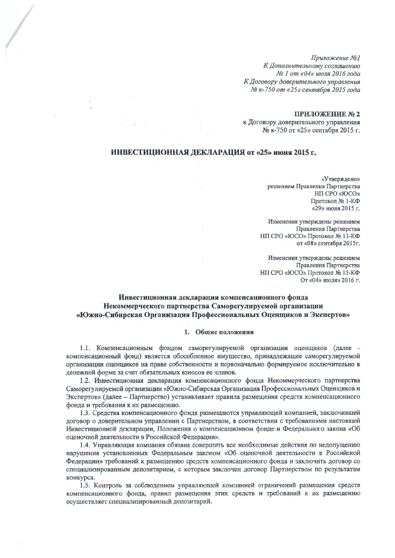Приложение №1 К Дополнительному соглашению № 1 от «04» июля 2016 года К Договору доверительного управления № к-750 от «25» сентября 2015 года

ПРИЛОЖЕНИЕ № 2 к Договору доверительного управления № к-750 от «25» сентября 2015 г.

# ИНВЕСТИЦИОННАЯ ДЕКЛАРАЦИЯ от «25» июня 2015 г.

«Утверждено» решением Правления Партнерства HII CPO «ЮСО» Протокол № 1-КФ «29» июня 2015 г.

Изменения утверждены решением Правления Партнерства НП СРО «ЮСО» Протокол № 13-КФ от «08» сентября 2015г.

Изменения утверждены решением Правления Партнерства НП СРО «ЮСО» Протокол № 15-КФ От «04» июля» 2016 г.

# Инвестиционная декларация компенсационного фонда Некоммерческого партнерства Саморегулируемой организации «Южно-Сибирская Организация Профессиональных Оценщиков и Экспертов»

## 1. Общие положения

1.1. Компенсационным фондом саморегулируемой организации оценщиков (далее компенсационный фонд) является обособленное имущество, принадлежащее саморегулируемой организации оценщиков на праве собственности и первоначально формируемое исключительно в денежной форме за счет обязательных взносов ее членов.

1.2. Инвестиционная декларация компенсационного фонда Некоммерческого партнерства Саморегулируемой организации «Южно-Сибирская Организация Профессиональных Оценщиков и Экспертов» (далее - Партнерство) устанавливает правила размещения средств компенсационного фонда и требования к их размещению.

1.3. Средства компенсационного фонда размещаются управляющей компанией, заключившей договор о доверительном управлении с Партнерством, в соответствии с требованиями настоящей Инвестиционной декларации, Положения о компенсационном фонде и Федерального закона «Об оценочной деятельности в Российской Федерации».

1.4. Управляющая компания обязана совершить все необходимые действия по недопущению нарушения установленных Федеральным законом «Об оценочной деятельности в Российской Федерации» требований к размещению средств компенсационного фонда и заключить договор со специализированным депозитарием, с которым заключен договор Партнерством по результатам конкурса.

1.5. Контроль за соблюдением управляющей компанией ограничений размещения средств компенсационного фонда, правил размещения этих средств и требований к их размещению осуществляет специализированный депозитарий.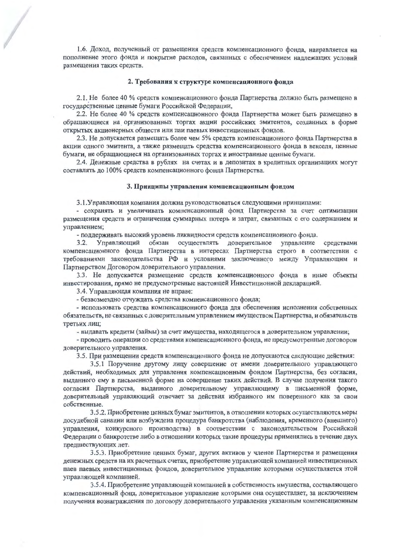1.6. Доход, полученный от размещения средств компенсационного фонда, направляется на пополнение этого фонда и покрытие расходов, связанных с обеспечением надлежащих условий размещения таких средств.

#### 2. Требования к структуре компенсационного фонда

2.1. Не более 40 % средств компенсационного фонда Партнерства должно быть размещено в государственные ценные бумаги Российской Федерации,

2.2. Не более 40 % средств компенсационного фонда Партнерства может быть размещено в обращающиеся на организованных торгах акции российских эмитентов, созданных в форме открытых акционерных обществ или паи паевых инвестиционных фондов.

2.3. Не допускается размещать более чем 5% средств компенсационного фонда Партнерства в акции одного эмитента, а также размещать средства компенсационного фонда в векселя, ценные бумаги, не обращающиеся на организованных торгах и иностранные ценные бумаги.

2.4. Денежные средства в рублях на счетах и в депозитах в кредитных организациях могут составлять до 100% средств компенсационного фонда Партнерства.

#### 3. Принципы управления компенсационным фондом

3.1. Управляющая компания должна руководствоваться следующими принципами:

- сохранять и увеличивать компенсационный фонд Партнерства за счет оптимизации размещения средств и ограничения суммарных потерь и затрат, связанных с его содержанием и управлением:

- поддерживать высокий уровень ликвидности средств компенсационного фонда.

Управляющий обязан осуществлять доверительное управление средствами  $3.2.$ компенсационного фонда Партиерства в интересах Партиерства строго в соответствии с требованиями законодательства РФ и условиями заключенного между Управляющим и Партнерством Договором доверительного управления.

3.3. Не допускается размещение средств компенсационного фонда в иные объекты инвестирования, прямо не предусмотренные настоящей Инвестиционной декларацией.

3.4. Управляющая компания не вправе:

- безвозмездно отчуждать средства компенсационного фонда;

- использовать средства компенсационного фонда для обеспечения исполнения собственных обязательств, не связанных с доверительным управлением имуществом Партнерства, и обязательств третьих лиц;

- выдавать кредиты (займы) за счет имущества, находящегося в доверительном управлении;

- проводить операции со средствами компенсационного фонда, не предусмотренные договором доверительного управления.

3.5. При размещении средств компенсационного фонда не допускаются следующие действия:

3.5.1 Поручение другому лицу совершение от имени доверительного управляющего действий, необходимых для управления компенсационным фондом Партнерства, без согласия, выданного ему в письменной форме на совершение таких действий. В случае получения такого согласия Партнерства, выданного доверительному управляющему в письменной форме, доверительный управляющий отвечает за действия избраиного им поверенного как за свои собственные.

3.5.2. Приобретение ценных бумаг эмитентов, в отношении которых осуществляются меры досудебной санации или возбуждена процедура банкротства (наблюдения, временного (внешнего) управления, коикурсного производства) в соответствии с законодательством Российской Федерации о банкротстве либо в отношении которых такие процедуры применялись в течение двух предшествующих лет.

3.5.3. Приобретение ценных бумаг, других активов у членов Партнерства и размещения денежных средств на их расчетных счетах, приобретение управляющей компанией инвестиционных паев паевых инвестиционных фондов, доверительное управление которыми осуществляется этой управляющей компанией.

3.5.4. Приобретение управляющей компанией в собственность имущества, составляющего компенсационный фонд, доверительное управление которыми она осуществляет, за исключением получения вознаграждения по договору доверительного управления указанным компенсационным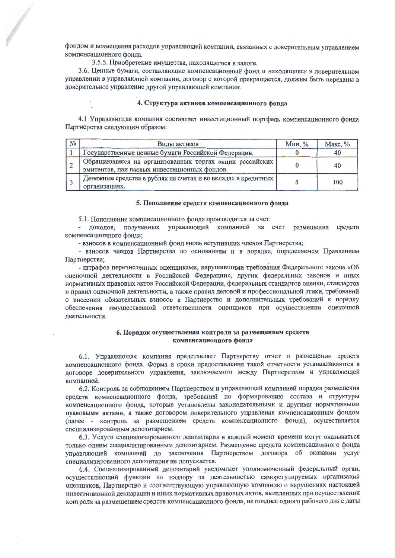фондом и возмещения расходов управляющей компании, связанных с доверительным управлением компенсационного фонда.

3.5.5. Приобретение имущества, находящегося в залоге.

3.6. Ценные бумаги, составляющие компенсационный фонд и находящиеся в доверительном управлении в управляющей компании, договор с которой прекращается, должны быть переданы в доверительное управление другой управляющей компании.

#### 4. Структура активов компенсационного фонда

4.1 Управляющая компания составляет инвестиционный портфель компенсационного фонда Партнерства следующим образом:

| $N_2$ | Виды активов                                                                                           | Мин, % | Макс, % |
|-------|--------------------------------------------------------------------------------------------------------|--------|---------|
|       | Государственные ценные бумаги Российской Федерации.                                                    |        | 40      |
|       | Обращающиеся на организованных торгах акции российских<br>эмитентов, паи паевых инвестиционных фондов. |        | 40      |
|       | Денежные средства в рублях на счетах и во вкладах в кредитных<br>организациях.                         |        | 100     |

### 5. Пополнение средств компенсационного фонда

5.1. Пополнение компенсационного фонда производится за счет:

- доходов, полученных управляющей компанией за счет размещения средств компенсационного фонда;

- взносов в компенсационный фонд вновь вступивших членов Партнерства;

- взносов членов Партнерства по основаниям и в порядке, определяемом Правлением Партнерства;

- штрафов перечисленных оценщиками, нарушившими требования Федерального закона «Об оценочной деятельности в Российской Федерации», других федеральных законов и иных нормативных правовых актов Российской Федерации, федеральных стандартов оценки, стандартов и правил оценочной деятельности, а также правил деловой и профессиональной этики, требований о внесении обязательных взносов в Партнерство и дополнительных требований к порядку обеспечения имущественной ответственности оценщиков при осуществлении оценочной деятельности.

## 6. Порядок осуществления контроля за размещением средств компенсационного фонда

6.1. Управляющая компания представляет Партнерству отчет о размещении средств компенсационного фонда. Форма и сроки предоставления такой отчетности устанавливаются в договоре доверительного управления, заключаемого между Партнерством и управляющей компанией.

6.2. Контроль за соблюдением Партнерством и управляющей компанией порядка размещения средств компенсационного фонда, требований по формированию состава и структуры компенсационного фонда, которые установлены законодательными и другими нормативными правовыми актами, а также договором доверительного управления компенсационным фондом (далее - контроль за размещением средств компенсационного фонда), осуществляется специализированным депозитарием.

6.3. Услуги специализированного депозитария в каждый момент времени могут оказываться только одним специализнрованным депозитарием. Размещение средств компенсационного фонда управляющей компанией до заключения Партнерством договора об оказании услуг специализированного депозитария не допускается.

6.4. Специализированный депозитарий уведомляет уполиомоченный федеральный орган, осуществляющий функции по надзору за деятельностью саморегулируемых организаций оценщиков, Партнерство и соответствующую управляющую компанию о нарушениях настоящей инвестиционной декларации и иных нормативных правовых актов, выявленных при осуществлении контроля за размещением средств компенсационного фонда, не позднее одного рабочего дня с даты